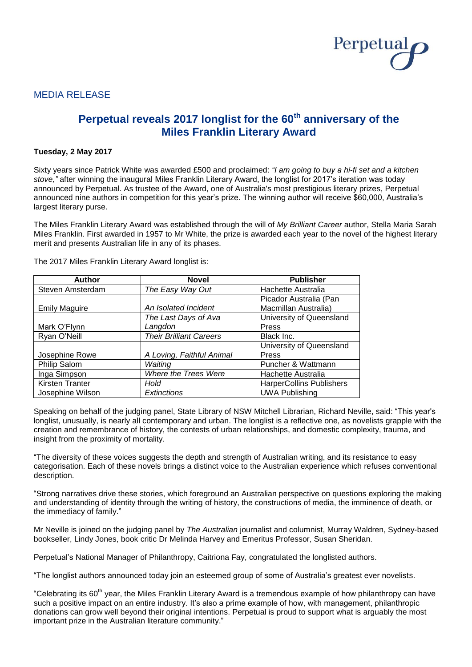

# MEDIA RELEASE

# **Perpetual reveals 2017 longlist for the 60th anniversary of the Miles Franklin Literary Award**

# **Tuesday, 2 May 2017**

Sixty years since Patrick White was awarded £500 and proclaimed: *"I am going to buy a hi-fi set and a kitchen stove,"* after winning the inaugural Miles Franklin Literary Award, the longlist for 2017's iteration was today announced by Perpetual. As trustee of the Award, one of Australia's most prestigious literary prizes, Perpetual announced nine authors in competition for this year's prize. The winning author will receive \$60,000, Australia's largest literary purse.

The Miles Franklin Literary Award was established through the will of *My Brilliant Career* author, Stella Maria Sarah Miles Franklin. First awarded in 1957 to Mr White, the prize is awarded each year to the novel of the highest literary merit and presents Australian life in any of its phases.

| <b>Author</b>        | <b>Novel</b>                   | <b>Publisher</b>                |  |
|----------------------|--------------------------------|---------------------------------|--|
| Steven Amsterdam     | The Easy Way Out               | Hachette Australia              |  |
|                      |                                | Picador Australia (Pan          |  |
| <b>Emily Maguire</b> | An Isolated Incident           | Macmillan Australia)            |  |
|                      | The Last Days of Ava           | University of Queensland        |  |
| Mark O'Flynn         | Langdon                        | Press                           |  |
| Ryan O'Neill         | <b>Their Brilliant Careers</b> | Black Inc.                      |  |
|                      |                                | University of Queensland        |  |
| Josephine Rowe       | A Loving, Faithful Animal      | Press                           |  |
| Philip Salom         | Waiting                        | Puncher & Wattmann              |  |
| Inga Simpson         | Where the Trees Were           | Hachette Australia              |  |
| Kirsten Tranter      | Hold                           | <b>HarperCollins Publishers</b> |  |
| Josephine Wilson     | Extinctions                    | <b>UWA Publishing</b>           |  |

The 2017 Miles Franklin Literary Award longlist is:

Speaking on behalf of the judging panel, State Library of NSW Mitchell Librarian, Richard Neville, said: "This year's longlist, unusually, is nearly all contemporary and urban. The longlist is a reflective one, as novelists grapple with the creation and remembrance of history, the contests of urban relationships, and domestic complexity, trauma, and insight from the proximity of mortality.

"The diversity of these voices suggests the depth and strength of Australian writing, and its resistance to easy categorisation. Each of these novels brings a distinct voice to the Australian experience which refuses conventional description.

"Strong narratives drive these stories, which foreground an Australian perspective on questions exploring the making and understanding of identity through the writing of history, the constructions of media, the imminence of death, or the immediacy of family."

Mr Neville is joined on the judging panel by *The Australian* journalist and columnist, Murray Waldren, Sydney-based bookseller, Lindy Jones, book critic Dr Melinda Harvey and Emeritus Professor, Susan Sheridan.

Perpetual's National Manager of Philanthropy, Caitriona Fay, congratulated the longlisted authors.

"The longlist authors announced today join an esteemed group of some of Australia's greatest ever novelists.

"Celebrating its 60<sup>th</sup> year, the Miles Franklin Literary Award is a tremendous example of how philanthropy can haye such a positive impact on an entire industry. It's also a prime example of how, with management, philanthropic donations can grow well beyond their original intentions. Perpetual is proud to support what is arguably the most important prize in the Australian literature community."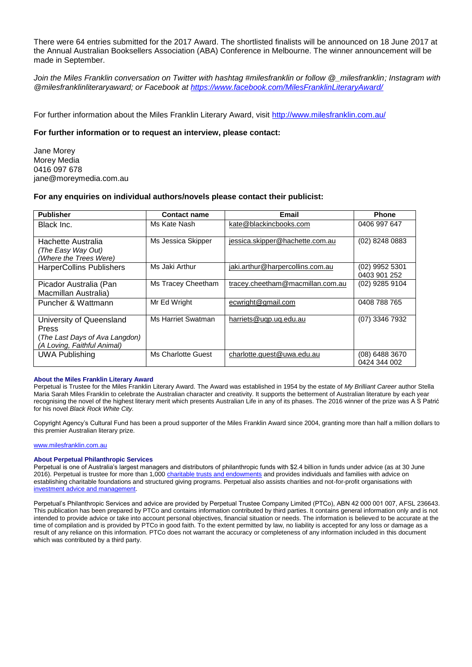There were 64 entries submitted for the 2017 Award. The shortlisted finalists will be announced on 18 June 2017 at the Annual Australian Booksellers Association (ABA) Conference in Melbourne. The winner announcement will be made in September.

*Join the Miles Franklin conversation on Twitter with hashtag #milesfranklin or follow @\_milesfranklin; Instagram with @milesfranklinliteraryaward; or Facebook at<https://www.facebook.com/MilesFranklinLiteraryAward/>*

For further information about the Miles Franklin Literary Award, visit <http://www.milesfranklin.com.au/>

# **For further information or to request an interview, please contact:**

Jane Morey Morey Media 0416 097 678 jane@moreymedia.com.au

# **For any enquiries on individual authors/novels please contact their publicist:**

| <b>Publisher</b>                                                                                   | <b>Contact name</b> | Email                            | <b>Phone</b>                     |
|----------------------------------------------------------------------------------------------------|---------------------|----------------------------------|----------------------------------|
| Black Inc.                                                                                         | Ms Kate Nash        | kate@blackincbooks.com           | 0406 997 647                     |
| Hachette Australia<br>(The Easy Way Out)<br>(Where the Trees Were)                                 | Ms Jessica Skipper  | jessica.skipper@hachette.com.au  | (02) 8248 0883                   |
| <b>HarperCollins Publishers</b>                                                                    | Ms Jaki Arthur      | jaki.arthur@harpercollins.com.au | $(02)$ 9952 5301<br>0403 901 252 |
| Picador Australia (Pan<br>Macmillan Australia)                                                     | Ms Tracey Cheetham  | tracey.cheetham@macmillan.com.au | (02) 9285 9104                   |
| Puncher & Wattmann                                                                                 | Mr Ed Wright        | ecwright@gmail.com               | 0408 788 765                     |
| University of Queensland<br>Press<br>(The Last Days of Ava Langdon)<br>(A Loving, Faithful Animal) | Ms Harriet Swatman  | harriets@ugp.ug.edu.au           | (07) 3346 7932                   |
| <b>UWA Publishing</b>                                                                              | Ms Charlotte Guest  | charlotte.quest@uwa.edu.au       | $(08)$ 6488 3670<br>0424 344 002 |

#### **About the Miles Franklin Literary Award**

Perpetual is Trustee for the Miles Franklin Literary Award. The Award was established in 1954 by the estate of *My Brilliant Career* author Stella Maria Sarah Miles Franklin to celebrate the Australian character and creativity. It supports the betterment of Australian literature by each year recognising the novel of the highest literary merit which presents Australian Life in any of its phases. The 2016 winner of the prize was A S Patrić for his novel *Black Rock White City.*

Copyright Agency's Cultural Fund has been a proud supporter of the Miles Franklin Award since 2004, granting more than half a million dollars to this premier Australian literary prize.

[www.milesfranklin.com.au](http://www.milesfranklin.com.au/)

#### **About Perpetual Philanthropic Services**

Perpetual is one of Australia's largest managers and distributors of philanthropic funds with \$2.4 billion in funds under advice (as at 30 June 2016). Perpetual is trustee for more than 1,00[0 charitable trusts and endowments](http://www.perpetual.com.au/philanthropy-individuals-and-families.aspx) and provides individuals and families with advice on establishing charitable foundations and structured giving programs. Perpetual also assists charities and not-for-profit organisations with [investment advice and management.](http://www.perpetual.com.au/philanthropy-investment-advice-management.aspx)

Perpetual's Philanthropic Services and advice are provided by Perpetual Trustee Company Limited (PTCo), ABN 42 000 001 007, AFSL 236643. This publication has been prepared by PTCo and contains information contributed by third parties. It contains general information only and is not intended to provide advice or take into account personal objectives, financial situation or needs. The information is believed to be accurate at the time of compilation and is provided by PTCo in good faith. To the extent permitted by law, no liability is accepted for any loss or damage as a result of any reliance on this information. PTCo does not warrant the accuracy or completeness of any information included in this document which was contributed by a third party.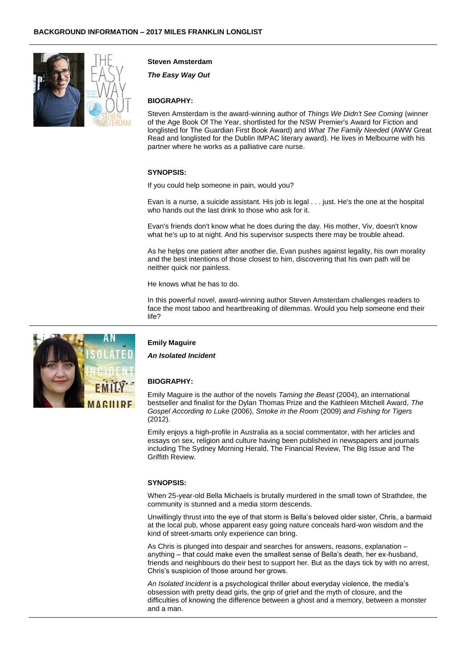

# **Steven Amsterdam**

*The Easy Way Out*

# **BIOGRAPHY:**

Steven Amsterdam is the award-winning author of *Things We Didn't See Coming* (winner of the Age Book Of The Year, shortlisted for the NSW Premier's Award for Fiction and longlisted for The Guardian First Book Award) and *What The Family Needed* (AWW Great Read and longlisted for the Dublin IMPAC literary award). He lives in Melbourne with his partner where he works as a palliative care nurse.

#### **SYNOPSIS:**

If you could help someone in pain, would you?

Evan is a nurse, a suicide assistant. His job is legal . . . just. He's the one at the hospital who hands out the last drink to those who ask for it.

Evan's friends don't know what he does during the day. His mother, Viv, doesn't know what he's up to at night. And his supervisor suspects there may be trouble ahead.

As he helps one patient after another die, Evan pushes against legality, his own morality and the best intentions of those closest to him, discovering that his own path will be neither quick nor painless.

He knows what he has to do.

In this powerful novel, award-winning author Steven Amsterdam challenges readers to face the most taboo and heartbreaking of dilemmas. Would you help someone end their life?

**AACHID** 

# **Emily Maguire**

*An Isolated Incident*

#### **BIOGRAPHY:**

Emily Maguire is the author of the novels *Taming the Beast* (2004), an international bestseller and finalist for the Dylan Thomas Prize and the Kathleen Mitchell Award, *The Gospel According to Luke* (2006), *Smoke in the Room* (2009) *and Fishing for Tigers* (2012).

Emily enjoys a high-profile in Australia as a social commentator, with her articles and essays on sex, religion and culture having been published in newspapers and journals including The Sydney Morning Herald, The Financial Review, The Big Issue and The Griffith Review.

## **SYNOPSIS:**

When 25-year-old Bella Michaels is brutally murdered in the small town of Strathdee, the community is stunned and a media storm descends.

Unwillingly thrust into the eye of that storm is Bella's beloved older sister, Chris, a barmaid at the local pub, whose apparent easy going nature conceals hard-won wisdom and the kind of street-smarts only experience can bring.

As Chris is plunged into despair and searches for answers, reasons, explanation – anything – that could make even the smallest sense of Bella's death, her ex-husband, friends and neighbours do their best to support her. But as the days tick by with no arrest, Chris's suspicion of those around her grows.

*An Isolated Incident* is a psychological thriller about everyday violence, the media's obsession with pretty dead girls, the grip of grief and the myth of closure, and the difficulties of knowing the difference between a ghost and a memory, between a monster and a man.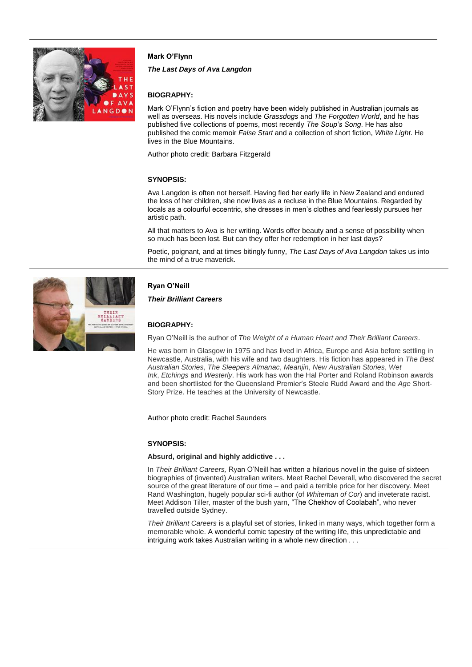

# **Mark O'Flynn**

## *The Last Days of Ava Langdon*

# **BIOGRAPHY:**

Mark O'Flynn's fiction and poetry have been widely published in Australian journals as well as overseas. His novels include *Grassdogs* and *The Forgotten World*, and he has published five collections of poems, most recently *The Soup's Song*. He has also published the comic memoir *False Start* and a collection of short fiction, *White Light*. He lives in the Blue Mountains.

Author photo credit: Barbara Fitzgerald

# **SYNOPSIS:**

Ava Langdon is often not herself. Having fled her early life in New Zealand and endured the loss of her children, she now lives as a recluse in the Blue Mountains. Regarded by locals as a colourful eccentric, she dresses in men's clothes and fearlessly pursues her artistic path.

All that matters to Ava is her writing. Words offer beauty and a sense of possibility when so much has been lost. But can they offer her redemption in her last days?

Poetic, poignant, and at times bitingly funny, *The Last Days of Ava Langdon* takes us into the mind of a true maverick.

# **Ryan O'Neill**

*Their Brilliant Careers*

# **BIOGRAPHY:**

Ryan O'Neill is the author of *The Weight of a Human Heart and Their Brilliant Careers*.

He was born in Glasgow in 1975 and has lived in Africa, Europe and Asia before settling in Newcastle, Australia, with his wife and two daughters. His fiction has appeared in *The Best Australian Stories*, *The Sleepers Almanac*, *Meanjin*, *New Australian Stories*, *Wet Ink*, *Etchings* and *Westerly*. His work has won the Hal Porter and Roland Robinson awards and been shortlisted for the Queensland Premier's Steele Rudd Award and the *Age* Short-Story Prize. He teaches at the University of Newcastle.

Author photo credit: Rachel Saunders

#### **SYNOPSIS:**

#### **Absurd, original and highly addictive . . .**

In *Their Brilliant Careers,* Ryan O'Neill has written a hilarious novel in the guise of sixteen biographies of (invented) Australian writers. Meet Rachel Deverall, who discovered the secret source of the great literature of our time – and paid a terrible price for her discovery. Meet Rand Washington, hugely popular sci-fi author (of *Whiteman of Cor*) and inveterate racist. Meet Addison Tiller, master of the bush yarn, "The Chekhov of Coolabah", who never travelled outside Sydney.

*Their Brilliant Careers* is a playful set of stories, linked in many ways, which together form a memorable whole. A wonderful comic tapestry of the writing life, this unpredictable and intriguing work takes Australian writing in a whole new direction . . .

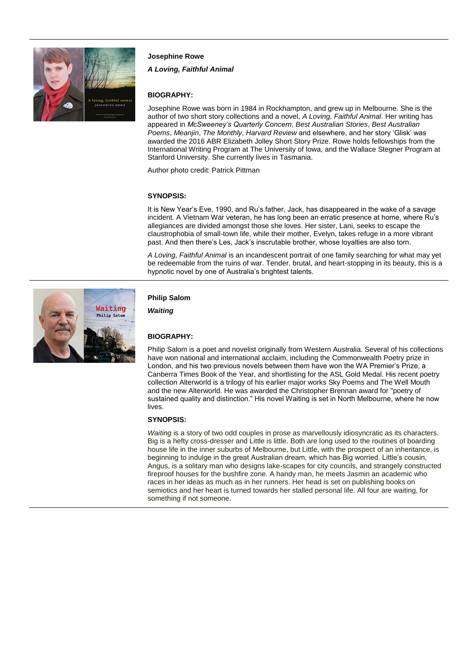

# **Josephine Rowe**

*A Loving, Faithful Animal*

# **BIOGRAPHY:**

Josephine Rowe was born in 1984 in Rockhampton, and grew up in Melbourne. She is the author of two short story collections and a novel, *A Loving, Faithful Animal*. Her writing has appeared in *McSweeney's Quarterly Concern*, *Best Australian Stories*, *Best Australian Poems*, *Meanjin*, *The Monthly*, *Harvard Review* and elsewhere, and her story 'Glisk' was awarded the 2016 ABR Elizabeth Jolley Short Story Prize. Rowe holds fellowships from the International Writing Program at The University of Iowa, and the Wallace Stegner Program at Stanford University. She currently lives in Tasmania.

Author photo credit: Patrick Pittman

#### **SYNOPSIS:**

It is New Year's Eve, 1990, and Ru's father, Jack, has disappeared in the wake of a savage incident. A Vietnam War veteran, he has long been an erratic presence at home, where Ru's allegiances are divided amongst those she loves. Her sister, Lani, seeks to escape the claustrophobia of small-town life, while their mother, Evelyn, takes refuge in a more vibrant past. And then there's Les, Jack's inscrutable brother, whose loyalties are also torn.

*A Loving, Faithful Animal* is an incandescent portrait of one family searching for what may yet be redeemable from the ruins of war. Tender, brutal, and heart-stopping in its beauty, this is a hypnotic novel by one of Australia's brightest talents.



#### **Philip Salom**

*Waiting*

#### **BIOGRAPHY:**

Philip Salom is a poet and novelist originally from Western Australia. Several of his collections have won national and international acclaim, including the Commonwealth Poetry prize in London, and his two previous novels between them have won the WA Premier's Prize, a Canberra Times Book of the Year, and shortlisting for the ASL Gold Medal. His recent poetry collection Alterworld is a trilogy of his earlier major works Sky Poems and The Well Mouth and the new Alterworld. He was awarded the Christopher Brennan award for "poetry of sustained quality and distinction." His novel Waiting is set in North Melbourne, where he now lives.

#### **SYNOPSIS:**

*Waiting* is a story of two odd couples in prose as marvellously idiosyncratic as its characters. Big is a hefty cross-dresser and Little is little. Both are long used to the routines of boarding house life in the inner suburbs of Melbourne, but Little, with the prospect of an inheritance, is beginning to indulge in the great Australian dream, which has Big worried. Little's cousin, Angus, is a solitary man who designs lake-scapes for city councils, and strangely constructed fireproof houses for the bushfire zone. A handy man, he meets Jasmin an academic who races in her ideas as much as in her runners. Her head is set on publishing books on semiotics and her heart is turned towards her stalled personal life. All four are waiting, for something if not someone.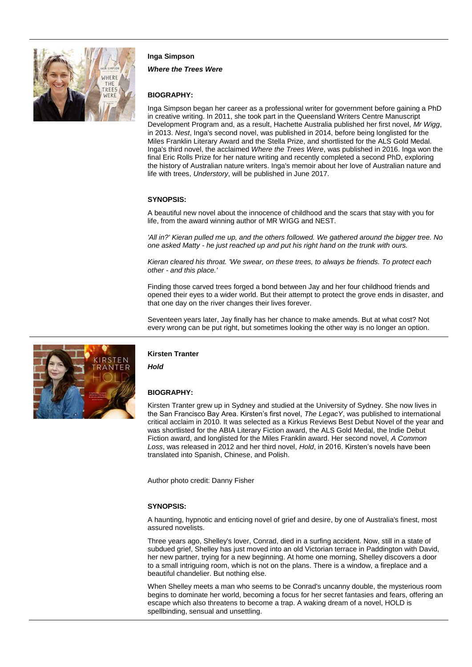

#### **Inga Simpson**

*Where the Trees Were*

#### **BIOGRAPHY:**

Inga Simpson began her career as a professional writer for government before gaining a PhD in creative writing. In 2011, she took part in the Queensland Writers Centre Manuscript Development Program and, as a result, Hachette Australia published her first novel, *Mr Wigg*, in 2013. *Nest*, Inga's second novel, was published in 2014, before being longlisted for the Miles Franklin Literary Award and the Stella Prize, and shortlisted for the ALS Gold Medal. Inga's third novel, the acclaimed *Where the Trees Were*, was published in 2016. Inga won the final Eric Rolls Prize for her nature writing and recently completed a second PhD, exploring the history of Australian nature writers. Inga's memoir about her love of Australian nature and life with trees, *Understory*, will be published in June 2017.

#### **SYNOPSIS:**

A beautiful new novel about the innocence of childhood and the scars that stay with you for life, from the award winning author of MR WIGG and NEST.

*'All in?' Kieran pulled me up, and the others followed. We gathered around the bigger tree. No one asked Matty - he just reached up and put his right hand on the trunk with ours.*

*Kieran cleared his throat. 'We swear, on these trees, to always be friends. To protect each other - and this place.'*

Finding those carved trees forged a bond between Jay and her four childhood friends and opened their eyes to a wider world. But their attempt to protect the grove ends in disaster, and that one day on the river changes their lives forever.

Seventeen years later, Jay finally has her chance to make amends. But at what cost? Not every wrong can be put right, but sometimes looking the other way is no longer an option.



#### **Kirsten Tranter**

*Hold*

#### **BIOGRAPHY:**

Kirsten Tranter grew up in Sydney and studied at the University of Sydney. She now lives in the San Francisco Bay Area. Kirsten's first novel, *The LegacY*, was published to international critical acclaim in 2010. It was selected as a Kirkus Reviews Best Debut Novel of the year and was shortlisted for the ABIA Literary Fiction award, the ALS Gold Medal, the Indie Debut Fiction award, and longlisted for the Miles Franklin award. Her second novel, *A Common Loss*, was released in 2012 and her third novel, *Hold*, in 2016. Kirsten's novels have been translated into Spanish, Chinese, and Polish.

Author photo credit: Danny Fisher

#### **SYNOPSIS:**

A haunting, hypnotic and enticing novel of grief and desire, by one of Australia's finest, most assured novelists.

Three years ago, Shelley's lover, Conrad, died in a surfing accident. Now, still in a state of subdued grief, Shelley has just moved into an old Victorian terrace in Paddington with David, her new partner, trying for a new beginning. At home one morning, Shelley discovers a door to a small intriguing room, which is not on the plans. There is a window, a fireplace and a beautiful chandelier. But nothing else.

When Shelley meets a man who seems to be Conrad's uncanny double, the mysterious room begins to dominate her world, becoming a focus for her secret fantasies and fears, offering an escape which also threatens to become a trap. A waking dream of a novel, HOLD is spellbinding, sensual and unsettling.